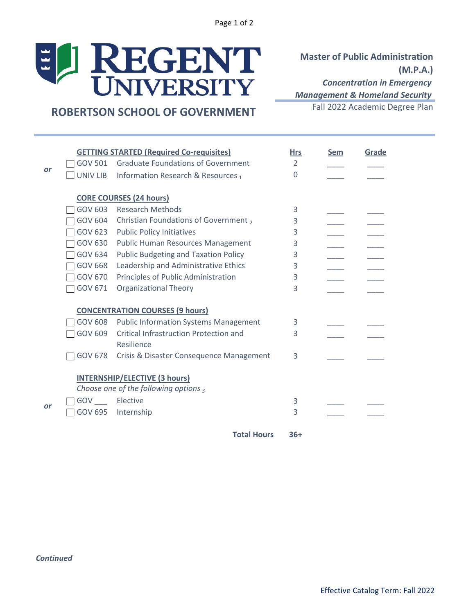Page 1 of 2

# J REGENT  $\left| \frac{1}{2} \right|$

**Master of Public Administration (M.P.A.)** *Concentration in Emergency Management & Homeland Security*

## Fall 2022 Academic Degree Plan **ROBERTSON SCHOOL OF GOVERNMENT**

|    | <b>GETTING STARTED (Required Co-requisites)</b> |                                               | <b>Hrs</b>     | <b>Sem</b> | Grade |
|----|-------------------------------------------------|-----------------------------------------------|----------------|------------|-------|
| or | <b>GOV 501</b>                                  | <b>Graduate Foundations of Government</b>     | $\overline{2}$ |            |       |
|    | <b>UNIV LIB</b>                                 | Information Research & Resources <sub>1</sub> | $\Omega$       |            |       |
|    |                                                 | <b>CORE COURSES (24 hours)</b>                |                |            |       |
|    | GOV 603                                         | <b>Research Methods</b>                       | 3              |            |       |
|    | <b>GOV 604</b>                                  | Christian Foundations of Government,          | 3              |            |       |
|    | GOV 623                                         | <b>Public Policy Initiatives</b>              | 3              |            |       |
|    | GOV 630                                         | <b>Public Human Resources Management</b>      | 3              |            |       |
|    | <b>GOV 634</b>                                  | <b>Public Budgeting and Taxation Policy</b>   | 3              |            |       |
|    | <b>GOV 668</b>                                  | Leadership and Administrative Ethics          | 3              |            |       |
|    | <b>GOV 670</b>                                  | Principles of Public Administration           | 3              |            |       |
|    | GOV 671                                         | <b>Organizational Theory</b>                  | 3              |            |       |
|    |                                                 | <b>CONCENTRATION COURSES (9 hours)</b>        |                |            |       |
|    | <b>GOV 608</b>                                  | <b>Public Information Systems Management</b>  | 3              |            |       |
|    | GOV 609                                         | <b>Critical Infrastruction Protection and</b> | 3              |            |       |
|    |                                                 | Resilience                                    |                |            |       |
|    | <b>GOV 678</b>                                  | Crisis & Disaster Consequence Management      | 3              |            |       |
|    |                                                 | <b>INTERNSHIP/ELECTIVE (3 hours)</b>          |                |            |       |
|    |                                                 | Choose one of the following options $_3$      |                |            |       |
|    | GOV Elective                                    |                                               | 3              |            |       |
| or | <b>GOV 695</b>                                  | Internship                                    | 3              |            |       |
|    |                                                 | <b>Total Hours</b>                            | $36+$          |            |       |